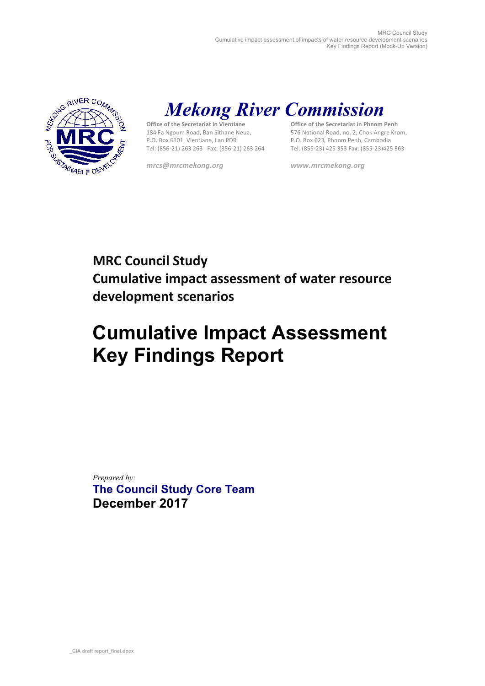

# *Mekong River Commission*

**Office of the Secretariat in Vientiane** 184 Fa Ngoum Road, Ban Sithane Neua, P.O. Box 6101, Vientiane, Lao PDR Tel: (856-21) 263 263 Fax: (856-21) 263 264

*mrcs@mrcmekong.org www.mrcmekong.org*

**Office of the Secretariat in Phnom Penh** 576 National Road, no. 2, Chok Angre Krom, P.O. Box 623, Phnom Penh, Cambodia Tel: (855-23) 425 353 Fax: (855-23)425 363

## **MRC Council Study Cumulative impact assessment of water resource development scenarios**

# **Cumulative Impact Assessment Key Findings Report**

*Prepared by:*  **The Council Study Core Team December 2017**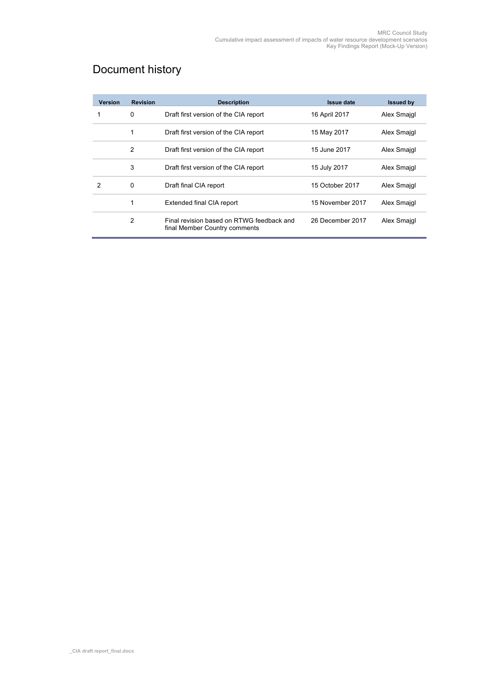## Document history

| <b>Version</b> | <b>Revision</b> | <b>Description</b>                                                         | <b>Issue date</b> | <b>Issued by</b> |
|----------------|-----------------|----------------------------------------------------------------------------|-------------------|------------------|
|                | $\Omega$        | Draft first version of the CIA report                                      | 16 April 2017     | Alex Smajgl      |
|                | 1               | Draft first version of the CIA report                                      | 15 May 2017       | Alex Smajgl      |
|                | 2               | Draft first version of the CIA report                                      | 15 June 2017      | Alex Smajgl      |
|                | 3               | Draft first version of the CIA report                                      | 15 July 2017      | Alex Smajgl      |
| 2              | $\Omega$        | Draft final CIA report                                                     | 15 October 2017   | Alex Smajgl      |
|                |                 | Extended final CIA report                                                  | 15 November 2017  | Alex Smajgl      |
|                | 2               | Final revision based on RTWG feedback and<br>final Member Country comments | 26 December 2017  | Alex Smajgl      |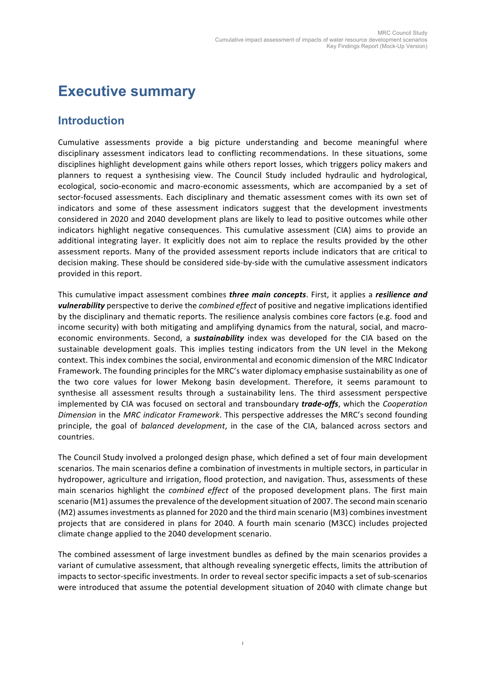## **Executive summary**

#### **Introduction**

Cumulative assessments provide a big picture understanding and become meaningful where disciplinary assessment indicators lead to conflicting recommendations. In these situations, some disciplines highlight development gains while others report losses, which triggers policy makers and planners to request a synthesising view. The Council Study included hydraulic and hydrological, ecological, socio-economic and macro-economic assessments, which are accompanied by a set of sector-focused assessments. Each disciplinary and thematic assessment comes with its own set of indicators and some of these assessment indicators suggest that the development investments considered in 2020 and 2040 development plans are likely to lead to positive outcomes while other indicators highlight negative consequences. This cumulative assessment (CIA) aims to provide an additional integrating layer. It explicitly does not aim to replace the results provided by the other assessment reports. Many of the provided assessment reports include indicators that are critical to decision making. These should be considered side-by-side with the cumulative assessment indicators provided in this report.

This cumulative impact assessment combines *three main concepts*. First, it applies a *resilience and vulnerability* perspective to derive the *combined effect* of positive and negative implications identified by the disciplinary and thematic reports. The resilience analysis combines core factors (e.g. food and income security) with both mitigating and amplifying dynamics from the natural, social, and macroeconomic environments. Second, a **sustainability** index was developed for the CIA based on the sustainable development goals. This implies testing indicators from the UN level in the Mekong context. This index combines the social, environmental and economic dimension of the MRC Indicator Framework. The founding principles for the MRC's water diplomacy emphasise sustainability as one of the two core values for lower Mekong basin development. Therefore, it seems paramount to synthesise all assessment results through a sustainability lens. The third assessment perspective implemented by CIA was focused on sectoral and transboundary *trade-offs*, which the *Cooperation Dimension* in the *MRC indicator Framework*. This perspective addresses the MRC's second founding principle, the goal of *balanced development*, in the case of the CIA, balanced across sectors and countries. 

The Council Study involved a prolonged design phase, which defined a set of four main development scenarios. The main scenarios define a combination of investments in multiple sectors, in particular in hydropower, agriculture and irrigation, flood protection, and navigation. Thus, assessments of these main scenarios highlight the *combined effect* of the proposed development plans. The first main scenario (M1) assumes the prevalence of the development situation of 2007. The second main scenario (M2) assumes investments as planned for 2020 and the third main scenario (M3) combines investment projects that are considered in plans for 2040. A fourth main scenario (M3CC) includes projected climate change applied to the 2040 development scenario.

The combined assessment of large investment bundles as defined by the main scenarios provides a variant of cumulative assessment, that although revealing synergetic effects, limits the attribution of impacts to sector-specific investments. In order to reveal sector specific impacts a set of sub-scenarios were introduced that assume the potential development situation of 2040 with climate change but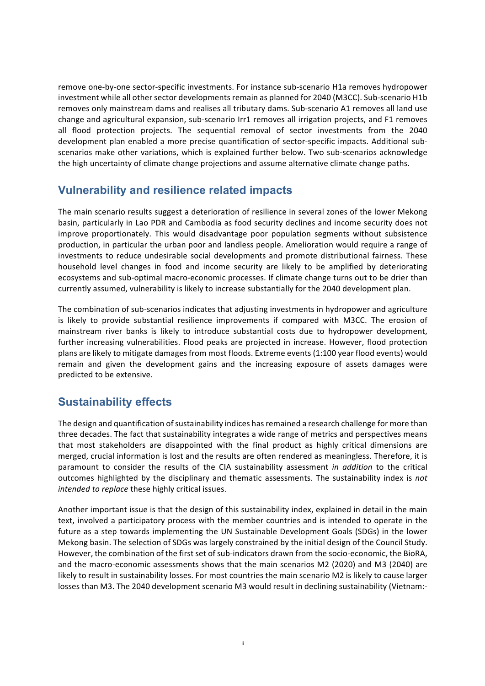remove one-by-one sector-specific investments. For instance sub-scenario H1a removes hydropower investment while all other sector developments remain as planned for 2040 (M3CC). Sub-scenario H1b removes only mainstream dams and realises all tributary dams. Sub-scenario A1 removes all land use change and agricultural expansion, sub-scenario Irr1 removes all irrigation projects, and F1 removes all flood protection projects. The sequential removal of sector investments from the 2040 development plan enabled a more precise quantification of sector-specific impacts. Additional subscenarios make other variations, which is explained further below. Two sub-scenarios acknowledge the high uncertainty of climate change projections and assume alternative climate change paths.

#### **Vulnerability and resilience related impacts**

The main scenario results suggest a deterioration of resilience in several zones of the lower Mekong basin, particularly in Lao PDR and Cambodia as food security declines and income security does not improve proportionately. This would disadvantage poor population segments without subsistence production, in particular the urban poor and landless people. Amelioration would require a range of investments to reduce undesirable social developments and promote distributional fairness. These household level changes in food and income security are likely to be amplified by deteriorating ecosystems and sub-optimal macro-economic processes. If climate change turns out to be drier than currently assumed, vulnerability is likely to increase substantially for the 2040 development plan.

The combination of sub-scenarios indicates that adjusting investments in hydropower and agriculture is likely to provide substantial resilience improvements if compared with M3CC. The erosion of mainstream river banks is likely to introduce substantial costs due to hydropower development, further increasing vulnerabilities. Flood peaks are projected in increase. However, flood protection plans are likely to mitigate damages from most floods. Extreme events (1:100 year flood events) would remain and given the development gains and the increasing exposure of assets damages were predicted to be extensive.

#### **Sustainability effects**

The design and quantification of sustainability indices has remained a research challenge for more than three decades. The fact that sustainability integrates a wide range of metrics and perspectives means that most stakeholders are disappointed with the final product as highly critical dimensions are merged, crucial information is lost and the results are often rendered as meaningless. Therefore, it is paramount to consider the results of the CIA sustainability assessment *in addition* to the critical outcomes highlighted by the disciplinary and thematic assessments. The sustainability index is *not intended to replace* these highly critical issues.

Another important issue is that the design of this sustainability index, explained in detail in the main text, involved a participatory process with the member countries and is intended to operate in the future as a step towards implementing the UN Sustainable Development Goals (SDGs) in the lower Mekong basin. The selection of SDGs was largely constrained by the initial design of the Council Study. However, the combination of the first set of sub-indicators drawn from the socio-economic, the BioRA, and the macro-economic assessments shows that the main scenarios M2 (2020) and M3 (2040) are likely to result in sustainability losses. For most countries the main scenario M2 is likely to cause larger losses than M3. The 2040 development scenario M3 would result in declining sustainability (Vietnam:-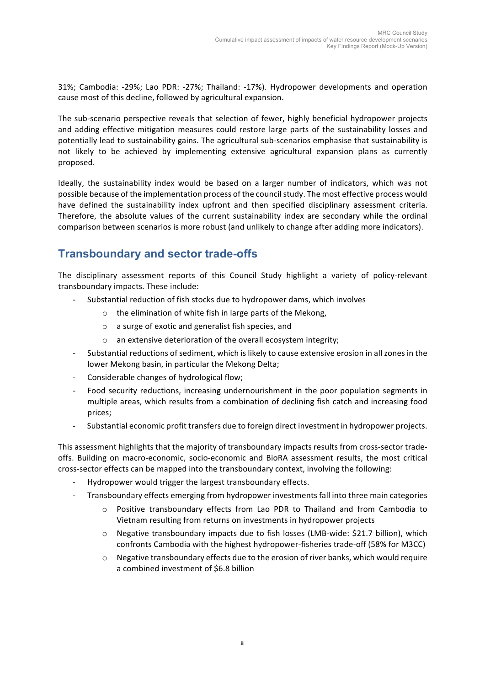31%; Cambodia: -29%; Lao PDR: -27%; Thailand: -17%). Hydropower developments and operation cause most of this decline, followed by agricultural expansion.

The sub-scenario perspective reveals that selection of fewer, highly beneficial hydropower projects and adding effective mitigation measures could restore large parts of the sustainability losses and potentially lead to sustainability gains. The agricultural sub-scenarios emphasise that sustainability is not likely to be achieved by implementing extensive agricultural expansion plans as currently proposed. 

Ideally, the sustainability index would be based on a larger number of indicators, which was not possible because of the implementation process of the council study. The most effective process would have defined the sustainability index upfront and then specified disciplinary assessment criteria. Therefore, the absolute values of the current sustainability index are secondary while the ordinal comparison between scenarios is more robust (and unlikely to change after adding more indicators).

### **Transboundary and sector trade-offs**

The disciplinary assessment reports of this Council Study highlight a variety of policy-relevant transboundary impacts. These include:

- Substantial reduction of fish stocks due to hydropower dams, which involves
	- $\circ$  the elimination of white fish in large parts of the Mekong,
	- $\circ$  a surge of exotic and generalist fish species, and
	- an extensive deterioration of the overall ecosystem integrity;
- Substantial reductions of sediment, which is likely to cause extensive erosion in all zones in the lower Mekong basin, in particular the Mekong Delta;
- Considerable changes of hydrological flow;
- Food security reductions, increasing undernourishment in the poor population segments in multiple areas, which results from a combination of declining fish catch and increasing food prices;
- Substantial economic profit transfers due to foreign direct investment in hydropower projects.

This assessment highlights that the majority of transboundary impacts results from cross-sector tradeoffs. Building on macro-economic, socio-economic and BioRA assessment results, the most critical cross-sector effects can be mapped into the transboundary context, involving the following:

- Hydropower would trigger the largest transboundary effects.
- Transboundary effects emerging from hydropower investments fall into three main categories
	- $\circ$  Positive transboundary effects from Lao PDR to Thailand and from Cambodia to Vietnam resulting from returns on investments in hydropower projects
	- o Negative transboundary impacts due to fish losses (LMB-wide: \$21.7 billion), which confronts Cambodia with the highest hydropower-fisheries trade-off (58% for M3CC)
	- Negative transboundary effects due to the erosion of river banks, which would require a combined investment of \$6.8 billion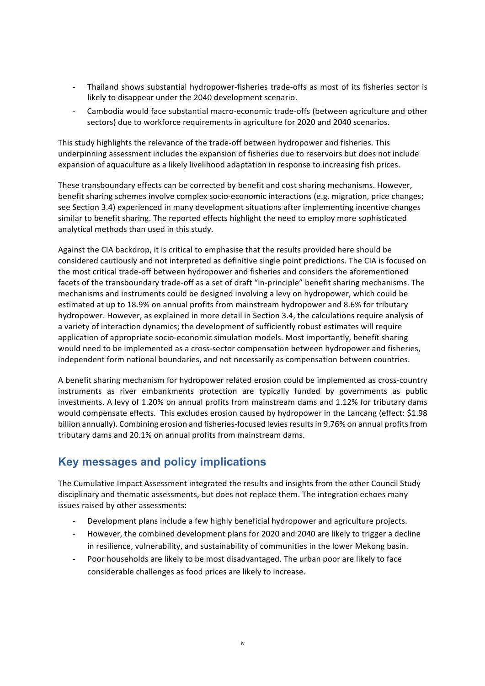- Thailand shows substantial hydropower-fisheries trade-offs as most of its fisheries sector is likely to disappear under the 2040 development scenario.
- Cambodia would face substantial macro-economic trade-offs (between agriculture and other sectors) due to workforce requirements in agriculture for 2020 and 2040 scenarios.

This study highlights the relevance of the trade-off between hydropower and fisheries. This underpinning assessment includes the expansion of fisheries due to reservoirs but does not include expansion of aquaculture as a likely livelihood adaptation in response to increasing fish prices.

These transboundary effects can be corrected by benefit and cost sharing mechanisms. However, benefit sharing schemes involve complex socio-economic interactions (e.g. migration, price changes; see Section 3.4) experienced in many development situations after implementing incentive changes similar to benefit sharing. The reported effects highlight the need to employ more sophisticated analytical methods than used in this study.

Against the CIA backdrop, it is critical to emphasise that the results provided here should be considered cautiously and not interpreted as definitive single point predictions. The CIA is focused on the most critical trade-off between hydropower and fisheries and considers the aforementioned facets of the transboundary trade-off as a set of draft "in-principle" benefit sharing mechanisms. The mechanisms and instruments could be designed involving a levy on hydropower, which could be estimated at up to 18.9% on annual profits from mainstream hydropower and 8.6% for tributary hydropower. However, as explained in more detail in Section 3.4, the calculations require analysis of a variety of interaction dynamics; the development of sufficiently robust estimates will require application of appropriate socio-economic simulation models. Most importantly, benefit sharing would need to be implemented as a cross-sector compensation between hydropower and fisheries, independent form national boundaries, and not necessarily as compensation between countries.

A benefit sharing mechanism for hydropower related erosion could be implemented as cross-country instruments as river embankments protection are typically funded by governments as public investments. A levy of 1.20% on annual profits from mainstream dams and 1.12% for tributary dams would compensate effects. This excludes erosion caused by hydropower in the Lancang (effect: \$1.98 billion annually). Combining erosion and fisheries-focused levies results in 9.76% on annual profits from tributary dams and 20.1% on annual profits from mainstream dams.

### **Key messages and policy implications**

The Cumulative Impact Assessment integrated the results and insights from the other Council Study disciplinary and thematic assessments, but does not replace them. The integration echoes many issues raised by other assessments:

- Development plans include a few highly beneficial hydropower and agriculture projects.
- However, the combined development plans for 2020 and 2040 are likely to trigger a decline in resilience, vulnerability, and sustainability of communities in the lower Mekong basin.
- Poor households are likely to be most disadvantaged. The urban poor are likely to face considerable challenges as food prices are likely to increase.